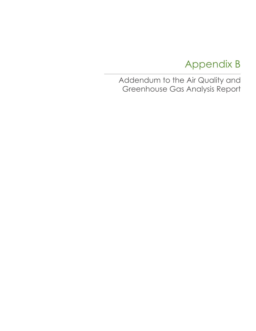# Appendix B

Addendum to the Air Quality and Greenhouse Gas Analysis Report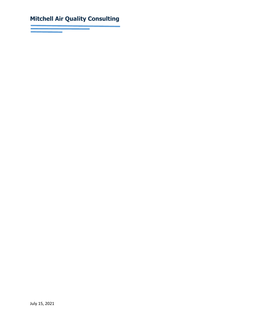# **Mitchell Air Quality Consulting**

July 15, 2021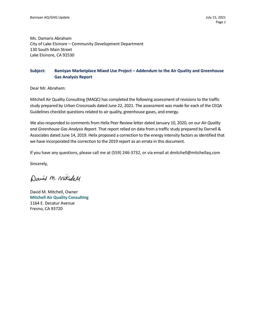Ms. Damaris Abraham City of Lake Elsinore – Community Development Department 130 South Main Street Lake Elsinore, CA 92530

# **Subject: Bamiyan Marketplace Mixed Use Project – Addendum to the Air Quality and Greenhouse Gas Analysis Report**

Dear Mr. Abraham:

Mitchell Air Quality Consulting (MAQC) has completed the following assessment of revisions to the traffic study prepared by Urban Crossroads dated June 22, 2021. The assessment was made for each of the CEQA Guidelines checklist questions related to air quality, greenhouse gases, and energy.

We also responded to comments from Helix Peer Review letter dated January 10, 2020, on our *Air Quality and Greenhouse Gas Analysis Report*. That report relied on data from a traffic study prepared by Darnell & Associates dated June 14, 2019*.* Helix proposed a correction to the energy intensity factors as identified that we have incorporated the correction to the 2019 report as an errata in this document.

If you have any questions, please call me at (559) 246-3732, or via email at dmitchell@mitchellaq.com

Sincerely,

David M. Mitchell

David M. Mitchell, Owner **Mitchell Air Quality Consulting** 1164 E. Decatur Avenue Fresno, CA 93720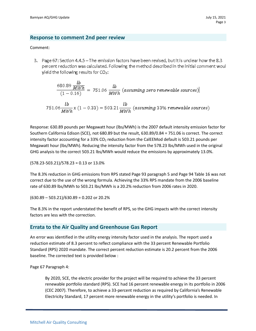# **Response to comment 2nd peer review**

#### Comment:

3. Page 67: Section 4.4.5 – The emission factors have been revised, but it is unclear how the 8.3 percent reduction was calculated. Following the method described in the initial comment woul yield the following results for  $CO<sub>2</sub>$ :

$$
\frac{680.89 \frac{lb}{MWh}}{(1-0.16)} = 751.06 \frac{lb}{MWh} (assuming zero renewale sources)
$$

$$
751.06 \frac{lb}{MWh} x (1 - 0.33) = 503.21 \frac{lb}{MWh} (assuming 33\% renewale sources)
$$

Response: 630.89 pounds per Megawatt hour (lbs/MWh) is the 2007 default intensity emission factor for Southern California Edison (SCE), not 680.89 but the result, 630.89/0.84 = 751.06 is correct. The correct intensity factor accounting for a 33%  $CO<sub>2</sub>$  reduction from the CalEEMod default is 503.21 pounds per Megawatt hour (lbs/MWh). Reducing the intensity factor from the 578.23 lbs/MWh used in the original GHG analysis to the correct 503.21 lbs/MWh would reduce the emissions by approximately 13.0%.

(578.23-503.21)/578.23 = 0.13 or 13.0%

The 8.3% reduction in GHG emissions from RPS stated Page 93 paragraph 5 and Page 94 Table 16 was not correct due to the use of the wrong formula. Achieving the 33% RPS mandate from the 2006 baseline rate of 630.89 lbs/MWh to 503.21 lbs/MWh is a 20.2% reduction from 2006 rates in 2020.

(630.89 – 503.21)/630.89 = 0.202 or 20.2%

The 8.3% in the report understated the benefit of RPS, so the GHG impacts with the correct intensity factors are less with the correction.

# **Errata to the Air Quality and Greenhouse Gas Report**

An error was identified in the utility energy intensity factor used in the analysis. The report used a reduction estimate of 8.3 percent to reflect compliance with the 33 percent Renewable Portfolio Standard (RPS) 2020 mandate. The correct percent reduction estimate is 20.2 percent from the 2006 baseline. The corrected text is provided below :

Page 67 Paragraph 4:

By 2020, SCE, the electric provider for the project will be required to achieve the 33 percent renewable portfolio standard (RPS). SCE had 16 percent renewable energy in its portfolio in 2006 (CEC 2007). Therefore, to achieve a 33-percent reduction as required by California's Renewable Electricity Standard, 17 percent more renewable energy in the utility's portfolio is needed. In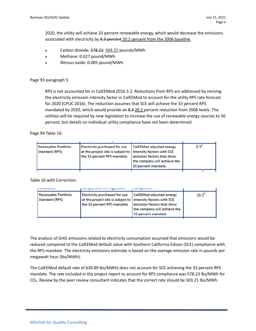2020, the utility will achieve 33 percent renewable energy, which would decrease the emissions associated with electricity by 8.3 percent 20.2 percent from the 2006 baseline.

- Carbon dioxide: 578.23 503.21 pounds/MWh
- Methane: 0.027 pound/MWh
- Nitrous oxide: 0.005 pound/MWh

#### Page 93 paragraph 5:

RPS is not accounted for in CalEEMod 2016.3.2. Reductions from RPS are addressed by revising the electricity emission intensity factor in CalEEMod to account for the utility RPS rate forecast for 2020 (CPUC 2016). The reduction assumes that SCE will achieve the 33 percent RPS mandated by 2020, which would provide an 8.3 20.2 percent reduction from 2006 levels. The utilities will be required by new legislation to increase the use of renewable energy sources to 50 percent, but details on individual utility compliance have not been determined.

Page 94 Table 16:

| Renewable Portfolio<br>Standard (RPS) | Electricity purchased for use<br>at the project site is subject to   intensity factors with SCE<br>the 33 percent RPS mandate | CalEEMod adjusted energy<br>emission factors that show<br>the company will achieve the<br>33 percent mandate. | $8.3^8$ |
|---------------------------------------|-------------------------------------------------------------------------------------------------------------------------------|---------------------------------------------------------------------------------------------------------------|---------|
|                                       |                                                                                                                               |                                                                                                               |         |

Table 16 with Correction:

|                                              | а маста в сериализации                                                                                                        |                                                                                                               |            |
|----------------------------------------------|-------------------------------------------------------------------------------------------------------------------------------|---------------------------------------------------------------------------------------------------------------|------------|
| Renewable Portfolio<br><b>Standard (RPS)</b> | Electricity purchased for use<br>at the project site is subject to   intensity factors with SCE<br>the 33 percent RPS mandate | CalEEMod adjusted energy<br>emission factors that show<br>the company will achieve the<br>33 percent mandate. | $20.2^{8}$ |

The analysis of GHG emissions related to electricity consumption assumed that emissions would be reduced compared to the CalEEMod default value with Southern California Edison (SCE) compliance with the RPS mandate. The electricity emissions estimate is based on the average emission rate in pounds per megawatt hour (lbs/MWh).

The CalEEMod default rate of 630.89 lbs/MWh) does not account for SCE achieving the 33 percent RPS mandate. The rate included in the project report to account for RPS compliance was 578.23 lbs/MWh for CO2. Review by the peer review consultant indicates that the correct rate should be 503.21 lbs/MWh.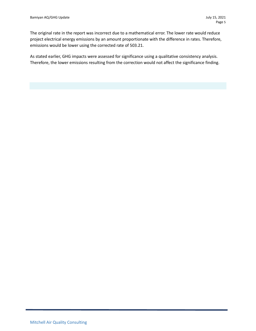The original rate in the report was incorrect due to a mathematical error. The lower rate would reduce project electrical energy emissions by an amount proportionate with the difference in rates. Therefore, emissions would be lower using the corrected rate of 503.21.

As stated earlier, GHG impacts were assessed for significance using a qualitative consistency analysis. Therefore, the lower emissions resulting from the correction would not affect the significance finding.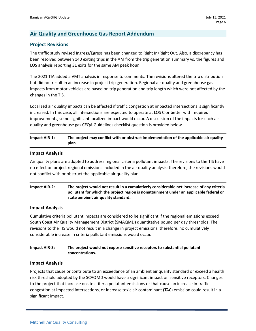# **Air Quality and Greenhouse Gas Report Addendum**

# **Project Revisions**

The traffic study revised Ingress/Egress has been changed to Right In/Right Out. Also, a discrepancy has been resolved between 140 exiting trips in the AM from the trip generation summary vs. the figures and LOS analysis reporting 31 exits for the same AM peak hour.

The 2021 TIA added a VMT analysis in response to comments. The revisions altered the trip distribution but did not result in an increase in project trip generation. Regional air quality and greenhouse gas impacts from motor vehicles are based on trip generation and trip length which were not affected by the changes in the TIS.

Localized air quality impacts can be affected if traffic congestion at impacted intersections is significantly increased. In this case, all intersections are expected to operate at LOS C or better with required improvements, so no significant localized impact would occur. A discussion of the impacts for each air quality and greenhouse gas CEQA Guidelines checklist question is provided below.

# **Impact AIR-1: The project may conflict with or obstruct implementation of the applicable air quality plan.**

#### **Impact Analysis**

Air quality plans are adopted to address regional criteria pollutant impacts. The revisions to the TIS have no effect on project regional emissions included in the air quality analysis; therefore, the revisions would not conflict with or obstruct the applicable air quality plan.

# **Impact AIR-2: The project would not result in a cumulatively considerable net increase of any criteria pollutant for which the project region is nonattainment under an applicable federal or state ambient air quality standard.**

#### **Impact Analysis**

Cumulative criteria pollutant impacts are considered to be significant if the regional emissions exceed South Coast Air Quality Management District (SMAQMD) quantitative pound per day thresholds. The revisions to the TIS would not result in a change in project emissions; therefore, no cumulatively considerable increase in criteria pollutant emissions would occur.

# **Impact AIR-3: The project would not expose sensitive receptors to substantial pollutant concentrations.**

#### **Impact Analysis**

Projects that cause or contribute to an exceedance of an ambient air quality standard or exceed a health risk threshold adopted by the SCAQMD would have a significant impact on sensitive receptors. Changes to the project that increase onsite criteria pollutant emissions or that cause an increase in traffic congestion at impacted intersections, or increase toxic air contaminant (TAC) emission could result in a significant impact.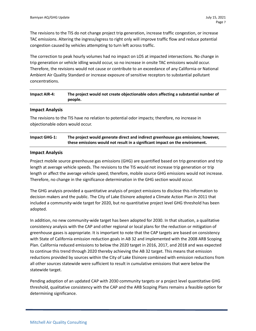The revisions to the TIS do not change project trip generation, increase traffic congestion, or increase TAC emissions. Altering the ingress/egress to right only will improve traffic flow and reduce potential congestion caused by vehicles attempting to turn left across traffic.

The correction to peak hourly volumes had no impact on LOS at impacted intersections. No change in trip generation or vehicle idling would occur, so no increase in onsite TAC emissions would occur. Therefore, the revisions would not cause or contribute to an exceedance of any California or National Ambient Air Quality Standard or increase exposure of sensitive receptors to substantial pollutant concentrations.

# **Impact AIR-4: The project would not create objectionable odors affecting a substantial number of people.**

#### **Impact Analysis**

The revisions to the TIS have no relation to potential odor impacts; therefore, no increase in objectionable odors would occur.

| Impact GHG-1: | The project would generate direct and indirect greenhouse gas emissions; however, |
|---------------|-----------------------------------------------------------------------------------|
|               | these emissions would not result in a significant impact on the environment.      |

#### **Impact Analysis**

Project mobile source greenhouse gas emissions (GHG) are quantified based on trip generation and trip length at average vehicle speeds. The revisions to the TIS would not increase trip generation or trip length or affect the average vehicle speed; therefore, mobile source GHG emissions would not increase. Therefore, no change in the significance determination in the GHG section would occur.

The GHG analysis provided a quantitative analysis of project emissions to disclose this information to decision makers and the public. The City of Lake Elsinore adopted a Climate Action Plan in 2011 that included a community-wide target for 2020, but no quantitative project level GHG threshold has been adopted.

In addition, no new community-wide target has been adopted for 2030. In that situation, a qualitative consistency analysis with the CAP and other regional or local plans for the reduction or mitigation of greenhouse gases is appropriate. It is important to note that the CAP targets are based on consistency with State of California emission reduction goals in AB 32 and implemented with the 2008 ARB Scoping Plan. California reduced emissions to below the 2020 target in 2016, 2017, and 2018 and was expected to continue this trend through 2020 thereby achieving the AB 32 target. This means that emission reductions provided by sources within the City of Lake Elsinore combined with emission reductions from all other sources statewide were sufficient to result in cumulative emissions that were below the statewide target.

Pending adoption of an updated CAP with 2030 community targets or a project level quantitative GHG threshold, qualitative consistency with the CAP and the ARB Scoping Plans remains a feasible option for determining significance.